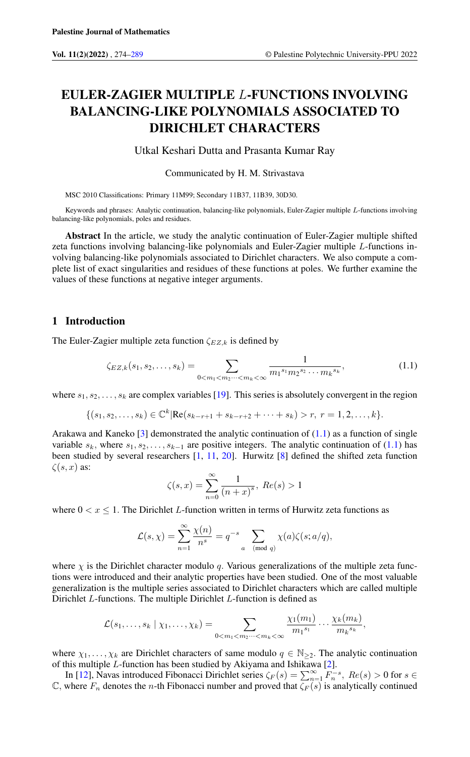# EULER-ZAGIER MULTIPLE L-FUNCTIONS INVOLVING BALANCING-LIKE POLYNOMIALS ASSOCIATED TO DIRICHLET CHARACTERS

Utkal Keshari Dutta and Prasanta Kumar Ray

#### Communicated by H. M. Strivastava

MSC 2010 Classifications: Primary 11M99; Secondary 11B37, 11B39, 30D30.

Keywords and phrases: Analytic continuation, balancing-like polynomials, Euler-Zagier multiple L-functions involving balancing-like polynomials, poles and residues.

Abstract In the article, we study the analytic continuation of Euler-Zagier multiple shifted zeta functions involving balancing-like polynomials and Euler-Zagier multiple L-functions involving balancing-like polynomials associated to Dirichlet characters. We also compute a complete list of exact singularities and residues of these functions at poles. We further examine the values of these functions at negative integer arguments.

### 1 Introduction

The Euler-Zagier multiple zeta function  $\zeta_{EZ,k}$  is defined by

<span id="page-0-0"></span>
$$
\zeta_{EZ,k}(s_1, s_2, \dots, s_k) = \sum_{0 < m_1 < m_2 \dots < m_k < \infty} \frac{1}{m_1^{s_1} m_2^{s_2} \cdots m_k^{s_k}},\tag{1.1}
$$

where  $s_1, s_2, \ldots, s_k$  are complex variables [\[19\]](#page-15-0). This series is absolutely convergent in the region

$$
\{(s_1, s_2, \ldots, s_k) \in \mathbb{C}^k | \text{Re}(s_{k-r+1} + s_{k-r+2} + \cdots + s_k) > r, r = 1, 2, \ldots, k\}.
$$

Arakawa and Kaneko  $\lceil 3 \rceil$  demonstrated the analytic continuation of  $(1.1)$  as a function of single variable  $s_k$ , where  $s_1, s_2, \ldots, s_{k-1}$  are positive integers. The analytic continuation of [\(1.1\)](#page-0-0) has been studied by several researchers [\[1,](#page-14-2) [11,](#page-14-3) [20\]](#page-15-1). Hurwitz [\[8\]](#page-14-4) defined the shifted zeta function  $\zeta(s, x)$  as:

$$
\zeta(s, x) = \sum_{n=0}^{\infty} \frac{1}{(n+x)^s}, \ Re(s) > 1
$$

where  $0 < x \leq 1$ . The Dirichlet L-function written in terms of Hurwitz zeta functions as

$$
\mathcal{L}(s,\chi)=\sum_{n=1}^{\infty}\frac{\chi(n)}{n^s}=q^{-s}\sum_{a\pmod{q}}\chi(a)\zeta(s;a/q),
$$

where  $\chi$  is the Dirichlet character modulo q. Various generalizations of the multiple zeta functions were introduced and their analytic properties have been studied. One of the most valuable generalization is the multiple series associated to Dirichlet characters which are called multiple Dirichlet L-functions. The multiple Dirichlet L-function is defined as

$$
\mathcal{L}(s_1,\ldots,s_k\mid \chi_1,\ldots,\chi_k)=\sum_{0
$$

where  $\chi_1, \ldots, \chi_k$  are Dirichlet characters of same modulo  $q \in \mathbb{N}_{\geq 2}$ . The analytic continuation of this multiple L-function has been studied by Akiyama and Ishikawa [\[2\]](#page-14-5).

In [\[12\]](#page-14-6), Navas introduced Fibonacci Dirichlet series  $\zeta_F(s) = \sum_{n=1}^{\infty} F_n^{-s}$ ,  $Re(s) > 0$  for  $s \in$  $\mathbb C$ , where  $F_n$  denotes the *n*-th Fibonacci number and proved that  $\zeta_F(s)$  is analytically continued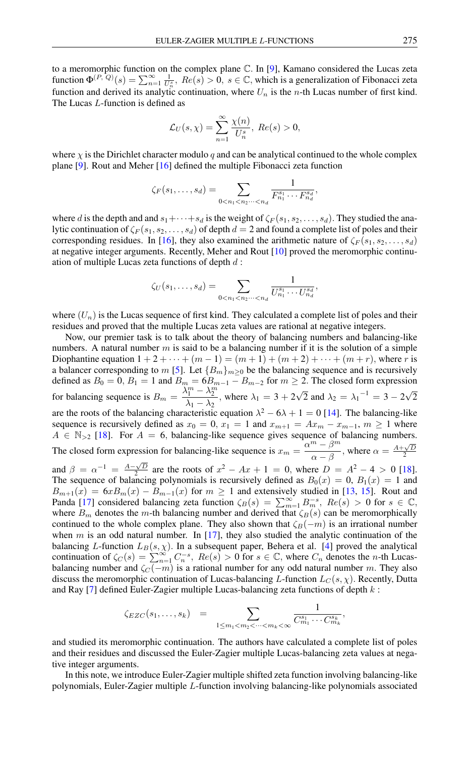to a meromorphic function on the complex plane C. In [\[9\]](#page-14-7), Kamano considered the Lucas zeta function  $\Phi^{(P,\ Q)}(s) = \sum_{n=1}^{\infty} \frac{1}{U_n^s}$ ,  $Re(s) > 0$ ,  $s \in \mathbb{C}$ , which is a generalization of Fibonacci zeta function and derived its analytic continuation, where  $U_n$  is the n-th Lucas number of first kind. The Lucas L-function is defined as

$$
\mathcal{L}_U(s,\chi)=\sum_{n=1}^\infty \frac{\chi(n)}{U_n^s},\;Re(s)>0,
$$

where  $\chi$  is the Dirichlet character modulo q and can be analytical continued to the whole complex plane [\[9\]](#page-14-7). Rout and Meher [\[16\]](#page-15-2) defined the multiple Fibonacci zeta function

$$
\zeta_F(s_1,\ldots,s_d) = \sum_{0 < n_1 < n_2 \cdots < n_d} \frac{1}{F_{n_1}^{s_1} \cdots F_{n_d}^{s_d}},
$$

where d is the depth and and  $s_1+\cdots+s_d$  is the weight of  $\zeta_F(s_1, s_2, \ldots, s_d)$ . They studied the analytic continuation of  $\zeta_F(s_1, s_2, \ldots, s_d)$  of depth  $d = 2$  and found a complete list of poles and their corresponding residues. In [\[16\]](#page-15-2), they also examined the arithmetic nature of  $\zeta_F(s_1, s_2, \ldots, s_d)$ at negative integer arguments. Recently, Meher and Rout [\[10\]](#page-14-8) proved the meromorphic continuation of multiple Lucas zeta functions of depth  $d$ :

$$
\zeta_U(s_1,\ldots,s_d) = \sum_{0 < n_1 < n_2 \cdots < n_d} \frac{1}{U_{n_1}^{s_1} \cdots U_{n_d}^{s_d}},
$$

where  $(U_n)$  is the Lucas sequence of first kind. They calculated a complete list of poles and their residues and proved that the multiple Lucas zeta values are rational at negative integers.

Now, our premier task is to talk about the theory of balancing numbers and balancing-like numbers. A natural number  $m$  is said to be a balancing number if it is the solution of a simple Diophantine equation  $1 + 2 + \cdots + (m - 1) = (m + 1) + (m + 2) + \cdots + (m + r)$ , where r is a balancer corresponding to m [\[5\]](#page-14-9). Let  ${B_m}_{m\geq 0}$  be the balancing sequence and is recursively defined as  $B_0 = 0$ ,  $B_1 = 1$  and  $B_m = 6B_{m-1} - B_{m-2}$  for  $m \ge 2$ . The closed form expression for balancing sequence is  $B_m = \frac{\lambda_1^m - \lambda_2^m}{\lambda_2^m}$  $\frac{\lambda_1 - \lambda_2}{\lambda_1 - \lambda_2}$ , where  $\lambda_1 = 3 + 2$ √  $\overline{2}$  and  $\lambda_2 = {\lambda_1}^{-1} = 3 - 2\sqrt{3}$ 2 are the roots of the balancing characteristic equation  $\lambda^2 - 6\lambda + 1 = 0$  [\[14\]](#page-15-3). The balancing-like sequence is recursively defined as  $x_0 = 0$ ,  $x_1 = 1$  and  $x_{m+1} = Ax_m - x_{m-1}$ ,  $m \ge 1$  where  $A \in \mathbb{N}_{\geq 2}$  [\[18\]](#page-15-4). For  $A = 6$ , balancing-like sequence gives sequence of balancing numbers. The closed form expression for balancing-like sequence is  $x_m = \frac{\alpha^m - \beta^m}{\alpha^m - \beta^m}$ ession for balancing-like sequence is  $x_m = \frac{\alpha^m - \beta^m}{\alpha - \beta}$ , where  $\alpha = \frac{A + \sqrt{D}}{2}$ and  $\beta = \alpha^{-1} = \frac{A - \sqrt{D}}{2}$  are the roots of  $x^2 - Ax + 1 = 0$ , where  $D = A^2 - 4 > 0$  [\[18\]](#page-15-4). The sequence of balancing polynomials is recursively defined as  $B_0(x) = 0$ ,  $B_1(x) = 1$  and  $B_{m+1}(x) = 6xB_m(x) - B_{m-1}(x)$  for  $m \ge 1$  and extensively studied in [\[13,](#page-14-10) [15\]](#page-15-5). Rout and Panda [\[17\]](#page-15-6) considered balancing zeta function  $\zeta_B(s) = \sum_{m=1}^{\infty} B_m^{-s}$ ,  $Re(s) > 0$  for  $s \in \mathbb{C}$ , where  $B_m$  denotes the m-th balancing number and derived that  $\zeta_B(s)$  can be meromorphically continued to the whole complex plane. They also shown that  $\zeta_B(-m)$  is an irrational number when  $m$  is an odd natural number. In [\[17\]](#page-15-6), they also studied the analytic continuation of the balancing L-function  $L_B(s, \chi)$ . In a subsequent paper, Behera et al. [\[4\]](#page-14-11) proved the analytical continuation of  $\zeta_C(s) = \sum_{n=1}^{\infty} C_n^{-s}$ ,  $Re(s) > 0$  for  $s \in \mathbb{C}$ , where  $C_n$  denotes the *n*-th Lucasbalancing number and  $\zeta_c(-m)$  is a rational number for any odd natural number m. They also discuss the meromorphic continuation of Lucas-balancing L-function  $L_C(s, \chi)$ . Recently, Dutta and Ray [\[7\]](#page-14-12) defined Euler-Zagier multiple Lucas-balancing zeta functions of depth  $k$ :

$$
\zeta_{EZC}(s_1,\ldots,s_k) = \sum_{1 \leq m_1 < m_2 < \cdots < m_k < \infty} \frac{1}{C_{m_1}^{s_1} \cdots C_{m_k}^{s_k}},
$$

and studied its meromorphic continuation. The authors have calculated a complete list of poles and their residues and discussed the Euler-Zagier multiple Lucas-balancing zeta values at negative integer arguments.

In this note, we introduce Euler-Zagier multiple shifted zeta function involving balancing-like polynomials, Euler-Zagier multiple L-function involving balancing-like polynomials associated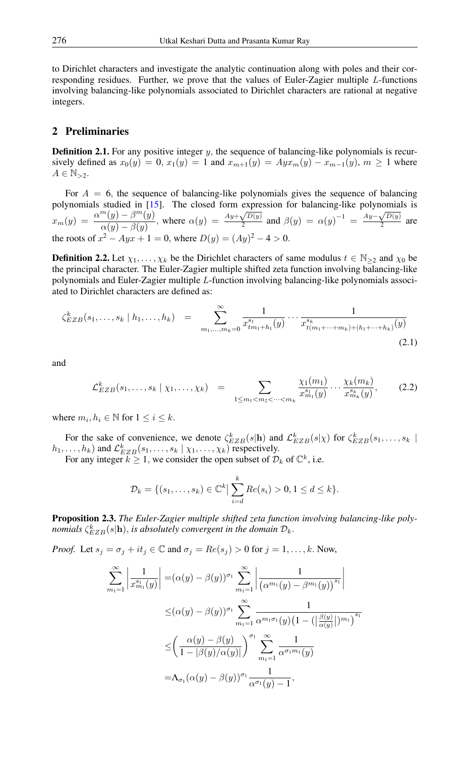to Dirichlet characters and investigate the analytic continuation along with poles and their corresponding residues. Further, we prove that the values of Euler-Zagier multiple L-functions involving balancing-like polynomials associated to Dirichlet characters are rational at negative integers.

### 2 Preliminaries

**Definition 2.1.** For any positive integer y, the sequence of balancing-like polynomials is recursively defined as  $x_0(y) = 0$ ,  $x_1(y) = 1$  and  $x_{m+1}(y) = Ayx_m(y) - x_{m-1}(y)$ ,  $m \ge 1$  where  $A \in \mathbb{N}_{>2}$ .

For  $A = 6$ , the sequence of balancing-like polynomials gives the sequence of balancing polynomials studied in [\[15\]](#page-15-5). The closed form expression for balancing-like polynomials is  $x_m(y) = \frac{\alpha^m(y) - \beta^m(y)}{\alpha(y) - \beta(y)}$  $\frac{\partial f(x, y) - \beta f(y)}{\partial f(y)}$ , where  $\alpha(y) = \frac{Ay + \beta(y)}{y}$  $\sqrt{D(y)}$  $\frac{\sqrt{D(y)}}{2}$  and  $\beta(y) = \alpha(y)^{-1} = \frac{Ay - \sqrt{D(y)}}{2}$  $\frac{\sqrt{D(y)}}{2}$  are the roots of  $x^2 - Ayx + 1 = 0$ , where  $D(y) = (Ay)^2 - 4 > 0$ .

**Definition 2.2.** Let  $\chi_1, \ldots, \chi_k$  be the Dirichlet characters of same modulus  $t \in \mathbb{N}_{\geq 2}$  and  $\chi_0$  be the principal character. The Euler-Zagier multiple shifted zeta function involving balancing-like polynomials and Euler-Zagier multiple L-function involving balancing-like polynomials associated to Dirichlet characters are defined as:

<span id="page-2-0"></span>
$$
\zeta_{EZB}^{k}(s_1,\ldots,s_k \mid h_1,\ldots,h_k) = \sum_{m_1,\ldots,m_k=0}^{\infty} \frac{1}{x_{tm_1+h_1}^{s_1}(y)} \cdots \frac{1}{x_{t(m_1+\cdots+m_k)+(h_1+\cdots+h_k)}^{s_k}(y)}
$$
\n(2.1)

and

$$
\mathcal{L}_{EZB}^{k}(s_1,\ldots,s_k \mid \chi_1,\ldots,\chi_k) = \sum_{1 \le m_1 < m_2 < \cdots < m_k} \frac{\chi_1(m_1)}{x_{m_1}^{s_1}(y)} \cdots \frac{\chi_k(m_k)}{x_{m_k}^{s_k}(y)},\tag{2.2}
$$

where  $m_i, h_i \in \mathbb{N}$  for  $1 \le i \le k$ .

For the sake of convenience, we denote  $\zeta_{EZB}^{k}(s|\mathbf{h})$  and  $\mathcal{L}_{EZB}^{k}(s|\chi)$  for  $\zeta_{EZB}^{k}(s_1,\ldots,s_k)$  $h_1, \ldots, h_k$ ) and  $\mathcal{L}_{EZB}^k(s_1, \ldots, s_k | \chi_1, \ldots, \chi_k)$  respectively.

For any integer  $k \ge 1$ , we consider the open subset of  $\mathcal{D}_k$  of  $\mathbb{C}^k$ , i.e.

$$
\mathcal{D}_k = \{(s_1, \ldots, s_k) \in \mathbb{C}^k \mid \sum_{i=d}^k Re(s_i) > 0, 1 \leq d \leq k\}.
$$

<span id="page-2-1"></span>Proposition 2.3. *The Euler-Zagier multiple shifted zeta function involving balancing-like poly*nomials  $\zeta_{EZB}^k(s|\textbf{h}),$  is absolutely convergent in the domain  $\mathcal{D}_k$ .

*Proof.* Let  $s_j = \sigma_j + it_j \in \mathbb{C}$  and  $\sigma_j = Re(s_j) > 0$  for  $j = 1, ..., k$ . Now,

$$
\sum_{m_1=1}^{\infty} \left| \frac{1}{x_{m_1}^{s_1}(y)} \right| = (\alpha(y) - \beta(y))^{\sigma_1} \sum_{m_1=1}^{\infty} \left| \frac{1}{(\alpha^{m_1}(y) - \beta^{m_1}(y))^{s_1}} \right|
$$
  

$$
\leq (\alpha(y) - \beta(y))^{\sigma_1} \sum_{m_1=1}^{\infty} \frac{1}{\alpha^{m_1 \sigma_1}(y) (1 - (\left| \frac{\beta(y)}{\alpha(y)} \right|)^{m_1})^{s_1}}
$$
  

$$
\leq \left( \frac{\alpha(y) - \beta(y)}{1 - |\beta(y)/\alpha(y)|} \right)^{\sigma_1} \sum_{m_1=1}^{\infty} \frac{1}{\alpha^{\sigma_1(m_1)}(y)}
$$
  

$$
= \Lambda_{\sigma_1} (\alpha(y) - \beta(y))^{\sigma_1} \frac{1}{\alpha^{\sigma_1}(y) - 1},
$$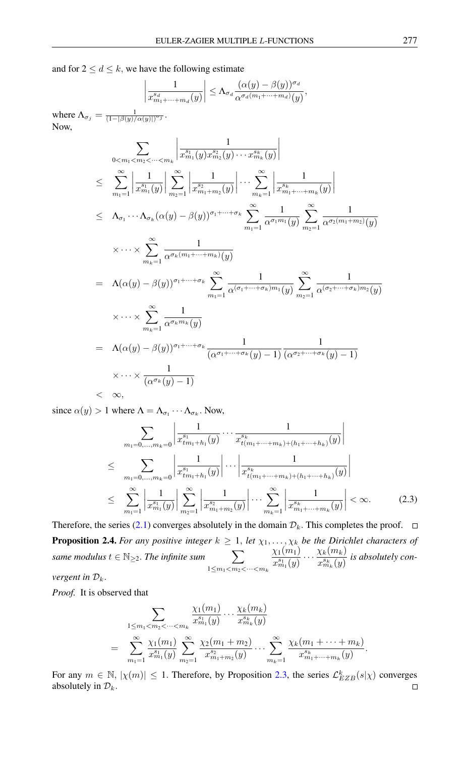and for  $2 \leq d \leq k$ , we have the following estimate

$$
\left|\frac{1}{x_{m_1+\cdots+m_d}^{s_d}(y)}\right| \leq \Lambda_{\sigma_d} \frac{(\alpha(y)-\beta(y))^{\sigma_d}}{\alpha^{\sigma_d(m_1+\cdots+m_d)}(y)},
$$

where  $\Lambda_{\sigma_j} = \frac{1}{(1 - |\beta(y)/\alpha(y)|)^{\sigma_j}}$ . Now,

$$
\sum_{0 < m_1 < m_2 < \dots < m_k} \left| \frac{1}{x_{m_1}^{s_1}(y)x_{m_2}^{s_2}(y)\cdots x_{m_k}^{s_k}(y)} \right|
$$
\n
$$
\leq \sum_{m_1=1}^{\infty} \left| \frac{1}{x_{m_1}^{s_1}(y)} \right| \sum_{m_2=1}^{\infty} \left| \frac{1}{x_{m_1+m_2}^{s_2}(y)} \right| \cdots \sum_{m_k=1}^{\infty} \left| \frac{1}{x_{m_1+\dots+m_k}^{s_k}(y)} \right|
$$
\n
$$
\leq \Lambda_{\sigma_1} \cdots \Lambda_{\sigma_k} (\alpha(y) - \beta(y))^{\sigma_1 + \dots + \sigma_k} \sum_{m_1=1}^{\infty} \frac{1}{\alpha^{\sigma_1 m_1}(y)} \sum_{m_2=1}^{\infty} \frac{1}{\alpha^{\sigma_2(m_1+m_2)}(y)}
$$
\n
$$
\times \cdots \times \sum_{m_k=1}^{\infty} \frac{1}{\alpha^{\sigma_k(m_1+\dots+m_k)}(y)}
$$
\n
$$
= \Lambda(\alpha(y) - \beta(y))^{\sigma_1 + \dots + \sigma_k} \sum_{m_1=1}^{\infty} \frac{1}{\alpha^{(\sigma_1 + \dots + \sigma_k)m_1}(y)} \sum_{m_2=1}^{\infty} \frac{1}{\alpha^{(\sigma_2 + \dots + \sigma_k)m_2}(y)}
$$
\n
$$
\times \cdots \times \sum_{m_k=1}^{\infty} \frac{1}{\alpha^{\sigma_k m_k}(y)}
$$
\n
$$
= \Lambda(\alpha(y) - \beta(y))^{\sigma_1 + \dots + \sigma_k} \frac{1}{(\alpha^{\sigma_1 + \dots + \sigma_k}(y) - 1)} \frac{1}{(\alpha^{\sigma_2 + \dots + \sigma_k}(y) - 1)}
$$
\n
$$
\times \cdots \times \frac{1}{(\alpha^{\sigma_k}(y) - 1)}
$$

since  $\alpha(y) > 1$  where  $\Lambda = \Lambda_{\sigma_1} \cdots \Lambda_{\sigma_k}$ . Now,

$$
\sum_{m_1=0,\dots,m_k=0} \left| \frac{1}{x_{tm_1+h_1}^{s_1}(y)} \cdots \frac{1}{x_{t_{(m_1+\dots+m_k)+(h_1+\dots+h_k)}}^{s_k}(y)} \right|
$$
\n
$$
\leq \sum_{m_1=0,\dots,m_k=0} \left| \frac{1}{x_{tm_1+h_1}^{s_1}(y)} \right| \cdots \left| \frac{1}{x_{t_{(m_1+\dots+m_k)+(h_1+\dots+h_k)}}^{s_k}(y)} \right|
$$
\n
$$
\leq \sum_{m_1=1}^{\infty} \left| \frac{1}{x_{m_1}^{s_1}(y)} \right| \sum_{m_2=1}^{\infty} \left| \frac{1}{x_{m_1+m_2}^{s_2}(y)} \right| \cdots \sum_{m_k=1}^{\infty} \left| \frac{1}{x_{m_1+\dots+m_k}^{s_k}(y)} \right| < \infty. \tag{2.3}
$$

Therefore, the series [\(2.1\)](#page-2-0) converges absolutely in the domain  $\mathcal{D}_k$ . This completes the proof.  $\Box$ **Proposition 2.4.** *For any positive integer*  $k \geq 1$ , *let*  $\chi_1, \ldots, \chi_k$  *be the Dirichlet characters of same modulus*  $t \in \mathbb{N}_{\geq 2}$ . *The infinite sum*  $\sum$  $1 \leq m_1 < m_2 < \cdots < m_k$  $\chi_1(m_1)$  $\frac{\chi_1(m_1)}{x_{m_1}^{s_1}(y)}\cdots\frac{\chi_k(m_k)}{x_{m_k}^{s_k}(y)}$  $\frac{\chi_{\kappa\langle\iota\iota\iota\kappa\rangle}}{x_{m_k}^{s_k}(y)}$  is absolutely con-

*vergent in*  $\mathcal{D}_k$ .

*Proof.* It is observed that

$$
\sum_{1 \leq m_1 < m_2 < \dots < m_k} \frac{\chi_1(m_1)}{x_{m_1}^{s_1}(y)} \cdots \frac{\chi_k(m_k)}{x_{m_k}^{s_k}(y)} \\
= \sum_{m_1=1}^{\infty} \frac{\chi_1(m_1)}{x_{m_1}^{s_1}(y)} \sum_{m_2=1}^{\infty} \frac{\chi_2(m_1+m_2)}{x_{m_1+m_2}^{s_2}(y)} \cdots \sum_{m_k=1}^{\infty} \frac{\chi_k(m_1+\dots+m_k)}{x_{m_1+\dots+m_k}^{s_k}(y)}.
$$

For any  $m \in \mathbb{N}$ ,  $|\chi(m)| \leq 1$ . Therefore, by Proposition [2.3,](#page-2-1) the series  $\mathcal{L}_{EZB}^{k}(s|\chi)$  converges absolutely in  $\mathcal{D}_k$ .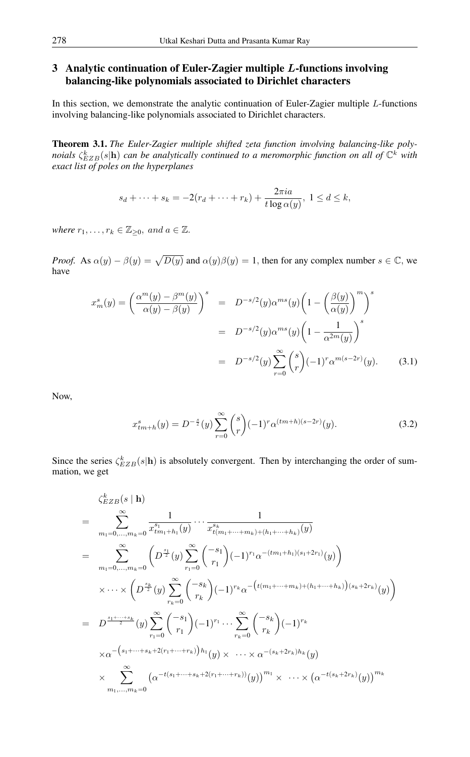## 3 Analytic continuation of Euler-Zagier multiple L-functions involving balancing-like polynomials associated to Dirichlet characters

In this section, we demonstrate the analytic continuation of Euler-Zagier multiple L-functions involving balancing-like polynomials associated to Dirichlet characters.

Theorem 3.1. *The Euler-Zagier multiple shifted zeta function involving balancing-like poly*noials  $\zeta_{EZB}^k(s|\textbf{h})$  can be analytically continued to a meromorphic function on all of  $\mathbb{C}^k$  with *exact list of poles on the hyperplanes*

$$
s_d + \dots + s_k = -2(r_d + \dots + r_k) + \frac{2\pi i a}{t \log \alpha(y)}, \ 1 \leq d \leq k,
$$

*where*  $r_1, \ldots, r_k \in \mathbb{Z}_{\geq 0}$ , and  $a \in \mathbb{Z}$ .

*Proof.* As  $\alpha(y) - \beta(y) = \sqrt{D(y)}$  and  $\alpha(y)\beta(y) = 1$ , then for any complex number  $s \in \mathbb{C}$ , we have

$$
x_m^s(y) = \left(\frac{\alpha^m(y) - \beta^m(y)}{\alpha(y) - \beta(y)}\right)^s = D^{-s/2}(y)\alpha^{ms}(y)\left(1 - \left(\frac{\beta(y)}{\alpha(y)}\right)^m\right)^s
$$

$$
= D^{-s/2}(y)\alpha^{ms}(y)\left(1 - \frac{1}{\alpha^{2m}(y)}\right)^s
$$

$$
= D^{-s/2}(y)\sum_{r=0}^{\infty} {s \choose r}(-1)^r\alpha^{m(s-2r)}(y). \tag{3.1}
$$

Now,

$$
x_{tm+h}^s(y) = D^{-\frac{s}{2}}(y) \sum_{r=0}^{\infty} {s \choose r} (-1)^r \alpha^{(tm+h)(s-2r)}(y).
$$
 (3.2)

Since the series  $\zeta_{EZB}^{k}(s|\mathbf{h})$  is absolutely convergent. Then by interchanging the order of summation, we get

<span id="page-4-0"></span>
$$
\zeta_{EZB}^{k}(s | \mathbf{h})
$$
\n
$$
= \sum_{m_1=0,...,m_k=0}^{\infty} \frac{1}{x_{tm_1+h_1}^{s_1}(y)} \cdots \frac{1}{x_{t(m_1+...+m_k)+(h_1+...+h_k)}^{s_k}(y)}
$$
\n
$$
= \sum_{m_1=0,...,m_k=0}^{\infty} \left( D^{\frac{s_1}{2}}(y) \sum_{r_1=0}^{\infty} {\binom{-s_1}{r_1}} (-1)^{r_1} \alpha^{-(tm_1+h_1)(s_1+2r_1)}(y) \right)
$$
\n
$$
\times \cdots \times \left( D^{\frac{s_k}{2}}(y) \sum_{r_k=0}^{\infty} {\binom{-s_k}{r_k}} (-1)^{r_k} \alpha^{-(t(m_1+\cdots+m_k)+(h_1+\cdots+h_k)) (s_k+2r_k)}(y) \right)
$$
\n
$$
= D^{\frac{s_1+\cdots+s_k}{2}}(y) \sum_{r_1=0}^{\infty} {\binom{-s_1}{r_1}} (-1)^{r_1} \cdots \sum_{r_k=0}^{\infty} {\binom{-s_k}{r_k}} (-1)^{r_k}
$$
\n
$$
\times \alpha^{-(s_1+\cdots+s_k+2(r_1+\cdots+r_k))h_1}(y) \times \cdots \times \alpha^{-(s_k+2r_k)h_k}(y)
$$
\n
$$
\times \sum_{m_1,...,m_k=0}^{\infty} (\alpha^{-t(s_1+\cdots+s_k+2(r_1+\cdots+r_k))}(y))^{m_1} \times \cdots \times (\alpha^{-t(s_k+2r_k)}(y))^{m_k}
$$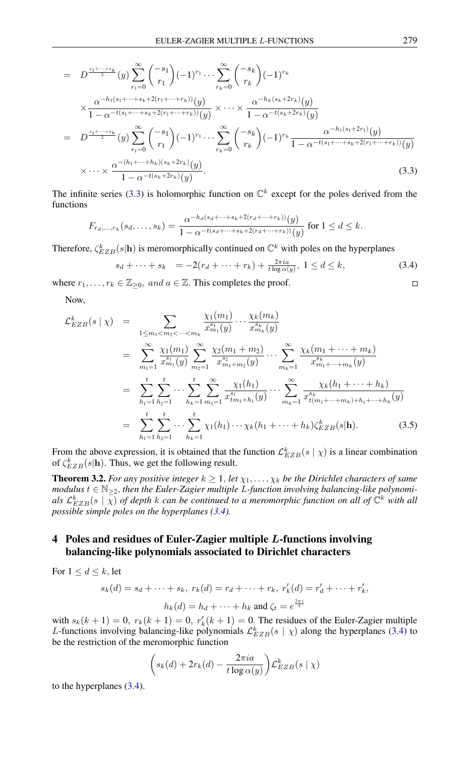$$
= D^{\frac{s_1 + \dots + s_k}{2}}(y) \sum_{r_1=0}^{\infty} {\binom{-s_1}{r_1}} (-1)^{r_1} \cdots \sum_{r_k=0}^{\infty} {\binom{-s_k}{r_k}} (-1)^{r_k}
$$
  

$$
\times \frac{\alpha^{-h_1(s_1 + \dots + s_k + 2(r_1 + \dots + r_k))}(y)}{1 - \alpha^{-t(s_1 + \dots + s_k + 2(r_1 + \dots + r_k))}(y)} \times \cdots \times \frac{\alpha^{-h_k(s_k + 2r_k)}(y)}{1 - \alpha^{-t(s_k + 2r_k)}(y)}
$$
  

$$
= D^{\frac{s_1 + \dots + s_k}{2}}(y) \sum_{r_1=0}^{\infty} {\binom{-s_1}{r_1}} (-1)^{r_1} \cdots \sum_{r_k=0}^{\infty} {\binom{-s_k}{r_k}} (-1)^{r_k} \frac{\alpha^{-h_1(s_1 + 2r_1)}(y)}{1 - \alpha^{-t(s_1 + \dots + s_k + 2(r_1 + \dots + r_k))}(y)}
$$
  

$$
\times \cdots \times \frac{\alpha^{-(h_1 + \dots + h_k)(s_k + 2r_k)}(y)}{1 - \alpha^{-t(s_k + 2r_k)}(y)}.
$$
(3.3)

The infinite series [\(3.3\)](#page-4-0) is holomorphic function on  $\mathbb{C}^k$  except for the poles derived from the functions

$$
F_{r_d,\dots,r_k}(s_d,\dots,s_k) = \frac{\alpha^{-h_d(s_d+\dots+s_k+2(r_d+\dots+r_k))}(y)}{1-\alpha^{-t(s_d+\dots+s_k+2(r_d+\dots+r_k))}(y)} \text{ for } 1 \le d \le k.
$$

Therefore,  $\zeta_{EZB}^{k}(s|\mathbf{h})$  is meromorphically continued on  $\mathbb{C}^{k}$  with poles on the hyperplanes

<span id="page-5-0"></span>
$$
s_d + \dots + s_k = -2(r_d + \dots + r_k) + \frac{2\pi i a}{t \log \alpha(y)}, \ 1 \le d \le k,
$$
\n(3.4)

where  $r_1, \ldots, r_k \in \mathbb{Z}_{\geq 0}$ , and  $a \in \mathbb{Z}$ . This completes the proof.

Now,

<span id="page-5-1"></span>
$$
\mathcal{L}_{EZB}^{k}(s | \chi) = \sum_{1 \le m_1 < m_2 < \dots < m_k} \frac{\chi_1(m_1)}{x_{m_1}^{s_1}(y)} \cdots \frac{\chi_k(m_k)}{x_{m_k}^{s_k}(y)}
$$
\n
$$
= \sum_{m_1=1}^{\infty} \frac{\chi_1(m_1)}{x_{m_1}^{s_1}(y)} \sum_{m_2=1}^{\infty} \frac{\chi_2(m_1+m_2)}{x_{m_1+m_2}^{s_2}(y)} \cdots \sum_{m_k=1}^{\infty} \frac{\chi_k(m_1+\dots+m_k)}{x_{m_1+\dots+m_k}^{s_k}(y)}
$$
\n
$$
= \sum_{h_1=1}^t \sum_{h_2=1}^t \cdots \sum_{h_k=1}^t \sum_{m_1=1}^{\infty} \frac{\chi_1(h_1)}{x_{tm_1+h_1}^{s_1}(y)} \cdots \sum_{m_k=1}^{\infty} \frac{\chi_k(h_1+\dots+h_k)}{x_{t(m_1+\dots+m_k)+h_1+\dots+h_k}^{s_k}(y)}
$$
\n
$$
= \sum_{h_1=1}^t \sum_{h_2=1}^t \cdots \sum_{h_k=1}^t \chi_1(h_1) \cdots \chi_k(h_1+\dots+h_k) \zeta_{EZB}^k(s|\mathbf{h}). \tag{3.5}
$$

From the above expression, it is obtained that the function  $\mathcal{L}_{EZB}^{k}(s \mid \chi)$  is a linear combination of  $\zeta_{EZB}^{k}(s|\mathbf{h})$ . Thus, we get the following result.

<span id="page-5-2"></span>**Theorem 3.2.** *For any positive integer*  $k \geq 1$ *, let*  $\chi_1, \ldots, \chi_k$  *be the Dirichlet characters of same modulus*  $t \in \mathbb{N}_{\geq 2}$ , then the Euler-Zagier multiple L-function involving balancing-like polynomials  $\mathcal{L}_{EZB}^k(s | \bar{\chi})$  of depth k can be continued to a meromorphic function on all of  $\tilde{\mathbb{C}}^k$  with all *possible simple poles on the hyperplanes [\(3.4\)](#page-5-0).*

### 4 Poles and residues of Euler-Zagier multiple L-functions involving balancing-like polynomials associated to Dirichlet characters

For  $1 \leq d \leq k$ , let

$$
s_k(d) = s_d + \dots + s_k, \ r_k(d) = r_d + \dots + r_k, \ r'_k(d) = r'_d + \dots + r'_k,
$$
  

$$
h_k(d) = h_d + \dots + h_k \text{ and } \zeta_t = e^{\frac{2\pi i}{t}}
$$

with  $s_k(k + 1) = 0$ ,  $r_k(k + 1) = 0$ ,  $r'_k(k + 1) = 0$ . The residues of the Euler-Zagier multiple L-functions involving balancing-like polynomials  $\mathcal{L}_{EZB}^{k}(s \mid \chi)$  along the hyperplanes [\(3.4\)](#page-5-0) to be the restriction of the meromorphic function

$$
\left(s_k(d) + 2r_k(d) - \frac{2\pi i a}{t \log \alpha(y)}\right) \mathcal{L}_{EZB}^k(s \mid \chi)
$$

to the hyperplanes [\(3.4\)](#page-5-0).

 $\Box$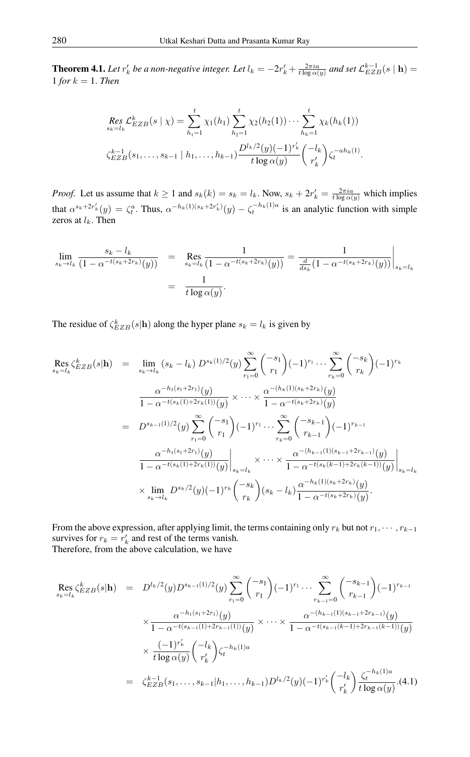<span id="page-6-1"></span>**Theorem 4.1.** Let  $r'_k$  be a non-negative integer. Let  $l_k = -2r'_k + \frac{2\pi i a}{t \log \alpha(y)}$  and set  $\mathcal{L}_{EZB}^{k-1}(s \mid \mathbf{h}) =$  $1$  *for*  $k = 1$ *. Then* 

$$
\operatorname{Res}_{s_k=l_k} \mathcal{L}_{EZB}^k(s \mid \chi) = \sum_{h_1=1}^t \chi_1(h_1) \sum_{h_2=1}^t \chi_2(h_2(1)) \cdots \sum_{h_k=1}^t \chi_k(h_k(1))
$$
  

$$
\zeta_{EZB}^{k-1}(s_1, \ldots, s_{k-1} \mid h_1, \ldots, h_{k-1}) \frac{D^{l_k/2}(y)(-1)^{r'_k}}{t \log \alpha(y)} \binom{-l_k}{r'_k} \zeta_t^{-ah_k(1)}.
$$

*Proof.* Let us assume that  $k \ge 1$  and  $s_k(k) = s_k = l_k$ . Now,  $s_k + 2r'_k = \frac{2\pi i a}{t \log \alpha(y)}$  which implies that  $\alpha^{s_k+2r'_k}(y) = \zeta_t^a$ . Thus,  $\alpha^{-h_k(1)(s_k+2r'_k)}(y) - \zeta_t^{-h_k(1)a}$  is an analytic function with simple zeros at  $l_k$ . Then

$$
\lim_{s_k \to l_k} \frac{s_k - l_k}{(1 - \alpha^{-t(s_k + 2r_k)}(y))} = \operatorname{Res}_{s_k = l_k} \frac{1}{(1 - \alpha^{-t(s_k + 2r_k)}(y))} = \frac{1}{\frac{d}{ds_k}(1 - \alpha^{-t(s_k + 2r_k)}(y))}\Big|_{s_k = l_k}
$$
\n
$$
= \frac{1}{t \log \alpha(y)}.
$$

The residue of  $\zeta_{EZB}^k(s|\mathbf{h})$  along the hyper plane  $s_k = l_k$  is given by

<span id="page-6-0"></span>
$$
\operatorname{Res}_{s_k=l_k} \zeta_{EZB}^k(s|\mathbf{h}) = \lim_{s_k \to l_k} (s_k - l_k) D^{s_k(1)/2}(y) \sum_{r_1=0}^{\infty} {\binom{-s_1}{r_1}} (-1)^{r_1} \cdots \sum_{r_k=0}^{\infty} {\binom{-s_k}{r_k}} (-1)^{r_k}
$$

$$
\frac{\alpha^{-h_1(s_1+2r_1)}(y)}{1 - \alpha^{-t(s_k(1)+2r_k(1))}(y)} \times \cdots \times \frac{\alpha^{-(h_k(1)(s_k+2r_k)}(y)}{1 - \alpha^{-t(s_k+2r_k)}(y)}
$$

$$
= D^{s_{k-1}(1)/2}(y) \sum_{r_1=0}^{\infty} {\binom{-s_1}{r_1}} (-1)^{r_1} \cdots \sum_{r_k=0}^{\infty} {\binom{-s_{k-1}}{r_{k-1}}} (-1)^{r_{k-1}}
$$

$$
\frac{\alpha^{-h_1(s_1+2r_1)}(y)}{1 - \alpha^{-t(s_k(1)+2r_k(1))}(y)} \Big|_{s_k=l_k} \times \cdots \times \frac{\alpha^{-(h_{k-1}(1)(s_{k-1}+2r_{k-1}))}(y)}{1 - \alpha^{-t(s_k(k-1)+2r_k(k-1))}(y)} \Big|_{s_k=l_k}
$$

$$
\times \lim_{s_k \to l_k} D^{s_k/2}(y) (-1)^{r_k} {\binom{-s_k}{r_k}} (s_k - l_k) \frac{\alpha^{-h_k(1)(s_k+2r_k)}(y)}{1 - \alpha^{-t(s_k+2r_k)}(y)}.
$$

From the above expression, after applying limit, the terms containing only  $r_k$  but not  $r_1, \dots, r_{k-1}$ survives for  $r_k = r'_k$  and rest of the terms vanish.

Therefore, from the above calculation, we have

$$
\operatorname{Res}_{s_k=l_k} \zeta_{EZB}^k(s|\mathbf{h}) = D^{l_k/2}(y)D^{s_{k-1}(1)/2}(y) \sum_{r_1=0}^{\infty} {\binom{-s_1}{r_1}} (-1)^{r_1} \cdots \sum_{r_{k-1}=0}^{\infty} {\binom{-s_{k-1}}{r_{k-1}}} (-1)^{r_{k-1}}
$$

$$
\times \frac{\alpha^{-h_1(s_1+2r_1)}(y)}{1-\alpha^{-t(s_{k-1}(1)+2r_{k-1}(1))}(y)} \times \cdots \times \frac{\alpha^{-(h_{k-1}(1)(s_{k-1}+2r_{k-1})}(y)}{1-\alpha^{-t(s_{k-1}(k-1)+2r_{k-1}(k-1))}(y)}
$$

$$
\times \frac{(-1)^{r'_k}}{t \log \alpha(y)} {\binom{-l_k}{r'_k}} \zeta_t^{-h_k(1)a}
$$

$$
= \zeta_{EZB}^{k-1}(s_1, \ldots, s_{k-1}|h_1, \ldots, h_{k-1}) D^{l_k/2}(y) (-1)^{r'_k} {\binom{-l_k}{r'_k}} \frac{\zeta_t^{-h_k(1)a}}{t \log \alpha(y)} (4.1)
$$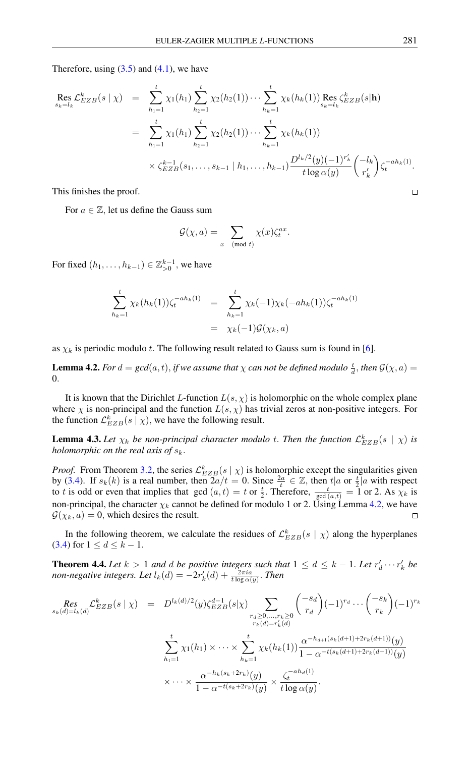Therefore, using  $(3.5)$  and  $(4.1)$ , we have

<span id="page-7-1"></span>
$$
\operatorname{Res}_{s_k=l_k} \mathcal{L}_{EZB}^k(s \mid \chi) = \sum_{h_1=1}^t \chi_1(h_1) \sum_{h_2=1}^t \chi_2(h_2(1)) \cdots \sum_{h_k=1}^t \chi_k(h_k(1)) \operatorname{Res}_{s_k=l_k} \zeta_{EZB}^k(s \mid \mathbf{h})
$$
  

$$
= \sum_{h_1=1}^t \chi_1(h_1) \sum_{h_2=1}^t \chi_2(h_2(1)) \cdots \sum_{h_k=1}^t \chi_k(h_k(1))
$$
  

$$
\times \zeta_{EZB}^{k-1}(s_1, \ldots, s_{k-1} \mid h_1, \ldots, h_{k-1}) \frac{D^{l_k/2}(y)(-1)^{r'_k}}{t \log \alpha(y)} \binom{-l_k}{r'_k} \zeta_t^{-ah_k(1)}.
$$

This finishes the proof.

For  $a \in \mathbb{Z}$ , let us define the Gauss sum

$$
\mathcal{G}(\chi, a) = \sum_{x \pmod{t}} \chi(x) \zeta_t^{ax}.
$$

For fixed  $(h_1, \ldots, h_{k-1}) \in \mathbb{Z}_{>0}^{k-1}$ , we have

$$
\sum_{h_k=1}^t \chi_k(h_k(1)) \zeta_t^{-ah_k(1)} = \sum_{h_k=1}^t \chi_k(-1) \chi_k(-ah_k(1)) \zeta_t^{-ah_k(1)}
$$
  
=  $\chi_k(-1) \mathcal{G}(\chi_k, a)$ 

as  $\chi_k$  is periodic modulo t. The following result related to Gauss sum is found in [\[6\]](#page-14-13).

<span id="page-7-0"></span>**Lemma 4.2.** *For*  $d = \gcd(a, t)$ , *if we assume that*  $\chi$  *can not be defined modulo*  $\frac{t}{d}$ *, then*  $\mathcal{G}(\chi, a)$  = 0.

It is known that the Dirichlet L-function  $L(s, \chi)$  is holomorphic on the whole complex plane where  $\chi$  is non-principal and the function  $L(s, \chi)$  has trivial zeros at non-positive integers. For the function  $\mathcal{L}_{EZB}^{k}(s | \chi)$ , we have the following result.

**Lemma 4.3.** Let  $\chi_k$  be non-principal character modulo t. Then the function  $\mathcal{L}_{EZB}^k(s \mid \chi)$  is *holomorphic on the real axis of*  $s_k$ .

*Proof.* From Theorem [3.2,](#page-5-2) the series  $\mathcal{L}_{EZB}^k(s | \chi)$  is holomorphic except the singularities given by [\(3.4\)](#page-5-0). If  $s_k(k)$  is a real number, then  $2a/t = 0$ . Since  $\frac{2a}{t} \in \mathbb{Z}$ , then  $t|a$  or  $\frac{t}{2}|a$  with respect to t is odd or even that implies that gcd  $(a, t) = t$  or  $\frac{t}{2}$ . Therefore,  $\frac{t}{\gcd(a, t)} = 1$  or 2. As  $\chi_k$  is non-principal, the character  $\chi_k$  cannot be defined for modulo 1 or 2. Using Lemma [4.2,](#page-7-0) we have  $\mathcal{G}(\chi_k, a) = 0$ , which desires the result.

In the following theorem, we calculate the residues of  $\mathcal{L}_{EZB}^{k}(s \mid \chi)$  along the hyperplanes [\(3.4\)](#page-5-0) for  $1 \le d \le k - 1$ .

**Theorem 4.4.** Let  $k > 1$  and  $d$  be positive integers such that  $1 \leq d \leq k - 1$ . Let  $r'_d \cdots r'_k$  be *non-negative integers. Let*  $l_k(d) = -2r'_k(d) + \frac{2\pi i a}{t \log \alpha(y)}$ . *Then* 

$$
\mathop{Res}_{s_k(d)=l_k(d)} \mathcal{L}_{EZB}^k(s \mid \chi) = D^{l_k(d)/2}(y) \zeta_{EZB}^{d-1}(s \mid \chi) \sum_{\substack{r_d \ge 0, \ldots, r_k \ge 0 \\ r_k(d) = r'_k(d)}} \binom{-s_d}{r_d} (-1)^{r_d} \cdots \binom{-s_k}{r_k} (-1)^{r_k}
$$
\n
$$
\sum_{h_1=1}^t \chi_1(h_1) \times \cdots \times \sum_{h_k=1}^t \chi_k(h_k(1)) \frac{\alpha^{-h_{d+1}(s_k(d+1)+2r_k(d+1))}(y)}{1-\alpha^{-t(s_k(d+1)+2r_k(d+1))}(y)}
$$
\n
$$
\times \cdots \times \frac{\alpha^{-h_k(s_k+2r_k)}(y)}{1-\alpha^{-t(s_k+2r_k)}(y)} \times \frac{\zeta_t^{-ah_d(1)}}{t \log \alpha(y)}.
$$

 $\Box$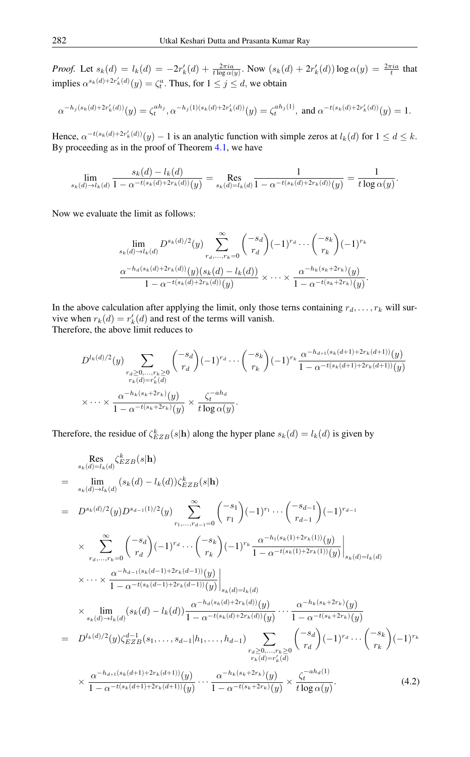*Proof.* Let  $s_k(d) = l_k(d) = -2r'_k(d) + \frac{2\pi i a}{t \log \alpha(y)}$ . Now  $(s_k(d) + 2r'_k(d)) \log \alpha(y) = \frac{2\pi i a}{t}$  that implies  $\alpha^{s_k(d)+2r'_k(d)}(y) = \zeta_t^a$ . Thus, for  $1 \le j \le d$ , we obtain

$$
\alpha^{-h_j(s_k(d)+2r'_k(d))}(y) = \zeta_t^{ah_j}, \alpha^{-h_j(1)(s_k(d)+2r'_k(d))}(y) = \zeta_t^{ah_j(1)}, \text{ and } \alpha^{-t(s_k(d)+2r'_k(d))}(y) = 1.
$$

Hence,  $\alpha^{-t(s_k(d) + 2r'_k(d))}(y) - 1$  is an analytic function with simple zeros at  $l_k(d)$  for  $1 \leq d \leq k$ . By proceeding as in the proof of Theorem [4.1,](#page-6-1) we have

$$
\lim_{s_k(d) \to l_k(d)} \frac{s_k(d) - l_k(d)}{1 - \alpha^{-t(s_k(d) + 2r_k(d))}(y)} = \operatorname*{Res}_{s_k(d) = l_k(d)} \frac{1}{1 - \alpha^{-t(s_k(d) + 2r_k(d))}(y)} = \frac{1}{t \log \alpha(y)}.
$$

Now we evaluate the limit as follows:

$$
\lim_{s_k(d)\to l_k(d)} D^{s_k(d)/2}(y) \sum_{r_d,...,r_k=0}^{\infty} {\binom{-s_d}{r_d}} (-1)^{r_d} \cdots {\binom{-s_k}{r_k}} (-1)^{r_k}
$$

$$
\frac{\alpha^{-h_d(s_k(d)+2r_k(d))}(y)(s_k(d)-l_k(d))}{1-\alpha^{-t(s_k(d)+2r_k(d))}(y)} \times \cdots \times \frac{\alpha^{-h_k(s_k+2r_k)}(y)}{1-\alpha^{-t(s_k+2r_k)}(y)}.
$$

In the above calculation after applying the limit, only those terns containing  $r_d, \ldots, r_k$  will survive when  $r_k(d) = r'_k(d)$  and rest of the terms will vanish. Therefore, the above limit reduces to

$$
D^{l_{k}(d)/2}(y) \sum_{\substack{r_{d} \geq 0, \ldots, r_{k} \geq 0 \\ r_{k}(d) = r'_{k}(d)}} \binom{-s_{d}}{r_{d}} (-1)^{r_{d}} \cdots \binom{-s_{k}}{r_{k}} (-1)^{r_{k}} \frac{\alpha^{-h_{d+1}(s_{k}(d+1)+2r_{k}(d+1))}(y)}{1 - \alpha^{-t(s_{k}(d+1)+2r_{k}(d+1))}(y)}
$$

$$
\times \cdots \times \frac{\alpha^{-h_{k}(s_{k}+2r_{k})}(y)}{1 - \alpha^{-t(s_{k}+2r_{k})}(y)} \times \frac{\zeta_{t}^{-a h_{d}}}{t \log \alpha(y)}.
$$

Therefore, the residue of  $\zeta_{EZB}^k(s|\mathbf{h})$  along the hyper plane  $s_k(d) = l_k(d)$  is given by

$$
\mathop{\mathsf{Res}}\limits_{s_{k}(d)=l_{k}(d)} \zeta_{EZB}^{k}(s|\mathbf{h})
$$
\n
$$
= \lim_{s_{k}(d)\to l_{k}(d)} (s_{k}(d)-l_{k}(d))\zeta_{EZB}^{k}(s|\mathbf{h})
$$
\n
$$
= D^{s_{k}(d)/2}(y)D^{s_{d-1}(1)/2}(y) \sum_{r_{1},\ldots,r_{d-1}=0}^{\infty} {\binom{-s_{1}}{r_{1}}} (-1)^{r_{1}} \cdots {\binom{-s_{d-1}}{r_{d-1}}} (-1)^{r_{d-1}}
$$
\n
$$
\times \sum_{r_{d},\ldots,r_{k}=0}^{\infty} {\binom{-s_{d}}{r_{d}}} (-1)^{r_{d}} \cdots {\binom{-s_{k}}{r_{k}}} (-1)^{r_{k}} \frac{\alpha^{-h_{1}(s_{k}(1)+2r_{k}(1))}(y)}{1-\alpha^{-t(s_{k}(1)+2r_{k}(1))}(y)}\Big|_{s_{k}(d)=l_{k}(d)}
$$
\n
$$
\times \cdots \times \frac{\alpha^{-h_{d-1}(s_{k}(d-1)+2r_{k}(d-1))}(y)}{1-\alpha^{-t(s_{k}(d-1)+2r_{k}(d-1))}(y)}\Big|_{s_{k}(d)=l_{k}(d)}
$$
\n
$$
\times \lim_{s_{k}(d)\to l_{k}(d)} (s_{k}(d)-l_{k}(d)) \frac{\alpha^{-h_{d}(s_{k}(d)+2r_{k}(d))}(y)}{1-\alpha^{-t(s_{k}(d)+2r_{k}(d))}(y)} \cdots \frac{\alpha^{-h_{k}(s_{k}+2r_{k})}(y)}{1-\alpha^{-t(s_{k}+2r_{k})}(y)}
$$
\n
$$
= D^{l_{k}(d)/2}(y) \zeta_{EZB}^{d-1}(s_{1},\ldots,s_{d-1}|h_{1},\ldots,h_{d-1}) \sum_{r_{d}\geq 0,\ldots,r_{k}\geq 0} {\binom{-s_{d}}{r_{d}}} (-1)^{r_{d}} \cdots {\binom{-s_{k}}{r_{k}}} (-1)^{r_{k}}
$$
\n
$$
\times \frac{\alpha^{-h_{d+1}(s_{k}(d+1)+2r_{k}(d+1))}(y)}{1-\alpha^{-t(s_{k}(d+1)+2r_{k}(d+1
$$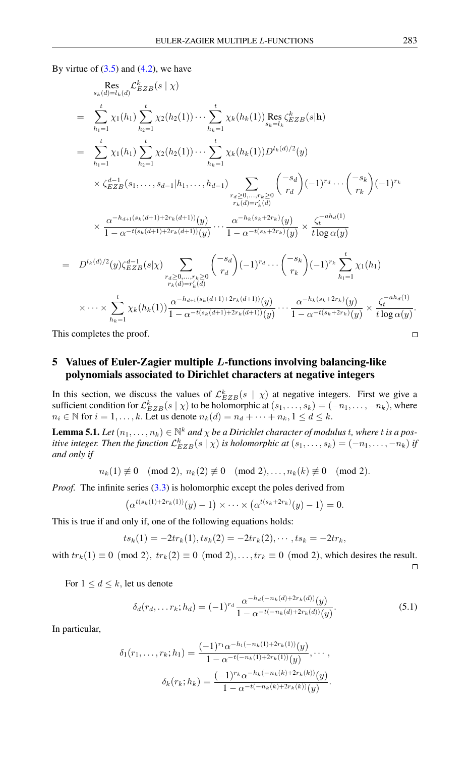By virtue of  $(3.5)$  and  $(4.2)$ , we have

$$
\mathop{\mathsf{Res}}_{s_k(d)=l_k(d)} \mathcal{L}_{EZB}^k(s \mid \chi)
$$
\n
$$
= \sum_{h_1=1}^t \chi_1(h_1) \sum_{h_2=1}^t \chi_2(h_2(1)) \cdots \sum_{h_k=1}^t \chi_k(h_k(1)) \mathop{\mathsf{Res}}_{s_k=l_k} \zeta_{EZB}^k(s \mid \mathbf{h})
$$
\n
$$
= \sum_{h_1=1}^t \chi_1(h_1) \sum_{h_2=1}^t \chi_2(h_2(1)) \cdots \sum_{h_k=1}^t \chi_k(h_k(1)) D^{l_k(d)/2}(y)
$$
\n
$$
\times \zeta_{EZB}^{d-1}(s_1, \ldots, s_{d-1} | h_1, \ldots, h_{d-1}) \sum_{\substack{r_d \ge 0, \ldots, r_k \ge 0 \\ r_k(d) = r_k(d)}} \binom{-s_d}{r_d} (-1)^{r_d} \cdots \binom{-s_k}{r_k} (-1)^{r_k}
$$
\n
$$
\times \frac{\alpha^{-h_{d+1}(s_k(d+1)+2r_k(d+1))}(y)}{1 - \alpha^{-t(s_k(d+1)+2r_k(d+1))}(y)} \cdots \frac{\alpha^{-h_k(s_k+2r_k)}(y)}{1 - \alpha^{-t(s_k+2r_k)}(y)} \times \frac{\zeta_t^{-ah_d(1)}}{t \log \alpha(y)}
$$
\n
$$
= D^{l_k(d)/2}(y) \zeta_{EZB}^{d-1}(s \mid \chi) \sum_{\substack{r_d \ge 0, \ldots, r_k \ge 0 \\ r_k(d) = r'_k(d)}} \binom{-s_d}{r_d} (-1)^{r_d} \cdots \binom{-s_k}{r_k} (-1)^{r_k} \sum_{h_1=1}^t \chi_1(h_1)
$$
\n
$$
\times \cdots \times \sum_{h_k=1}^t \chi_k(h_k(1)) \frac{\alpha^{-h_{d+1}(s_k(d+1)+2r_k(d+1))}(y)}{1 - \alpha^{-t(s_k(d+1)+2r_k(d+1))}(y)} \cdots \frac{\alpha^{-h_k(s_k+2r_k)}(y)}{1 - \alpha^{-t(s_k+2r_k)}(y)} \times \frac{\zeta_t^{-ah_d(1)}}{t \log \alpha(y)}.
$$
is completes the proof.

This completes the proof.

### 5 Values of Euler-Zagier multiple L-functions involving balancing-like polynomials associated to Dirichlet characters at negative integers

In this section, we discuss the values of  $\mathcal{L}_{EZB}^k(s \mid \chi)$  at negative integers. First we give a sufficient condition for  $\mathcal{L}_{EZB}^{k}(s | \chi)$  to be holomorphic at  $(s_1, \ldots, s_k) = (-n_1, \ldots, -n_k)$ , where  $n_i \in \mathbb{N}$  for  $i = 1, \ldots, k$ . Let us denote  $n_k(d) = n_d + \cdots + n_k, 1 \leq d \leq k$ .

**Lemma 5.1.** *Let*  $(n_1, \ldots, n_k) \in \mathbb{N}^k$  *and*  $\chi$  *be a Dirichlet character of modulus t, where t is a positive integer. Then the function*  $\mathcal{L}_{EZB}^{k}(s | \chi)$  *is holomorphic at*  $(s_1, \ldots, s_k) = (-n_1, \ldots, -n_k)$  *if and only if*

$$
n_k(1) \not\equiv 0 \pmod{2}, n_k(2) \not\equiv 0 \pmod{2}, \ldots, n_k(k) \not\equiv 0 \pmod{2}.
$$

*Proof.* The infinite series [\(3.3\)](#page-4-0) is holomorphic except the poles derived from

$$
(\alpha^{t(s_k(1)+2r_k(1))}(y)-1) \times \cdots \times (\alpha^{t(s_k+2r_k)}(y)-1)=0.
$$

This is true if and only if, one of the following equations holds:

$$
ts_k(1) = -2tr_k(1), ts_k(2) = -2tr_k(2), \cdots, ts_k = -2tr_k,
$$

with  $tr_k(1) \equiv 0 \pmod{2}$ ,  $tr_k(2) \equiv 0 \pmod{2}$ , ...,  $tr_k \equiv 0 \pmod{2}$ , which desires the result.  $\Box$ 

For  $1 \leq d \leq k$ , let us denote

<span id="page-9-0"></span>
$$
\delta_d(r_d, \dots r_k; h_d) = (-1)^{r_d} \frac{\alpha^{-h_d(-n_k(d) + 2r_k(d))}(y)}{1 - \alpha^{-t(-n_k(d) + 2r_k(d))}(y)}.
$$
\n(5.1)

In particular,

$$
\delta_1(r_1,\ldots,r_k;h_1) = \frac{(-1)^{r_1} \alpha^{-h_1(-n_k(1)+2r_k(1))}(y)}{1 - \alpha^{-t(-n_k(1)+2r_k(1))}(y)},\ldots,
$$

$$
\delta_k(r_k;h_k) = \frac{(-1)^{r_k} \alpha^{-h_k(-n_k(k)+2r_k(k))}(y)}{1 - \alpha^{-t(-n_k(k)+2r_k(k))}(y)}.
$$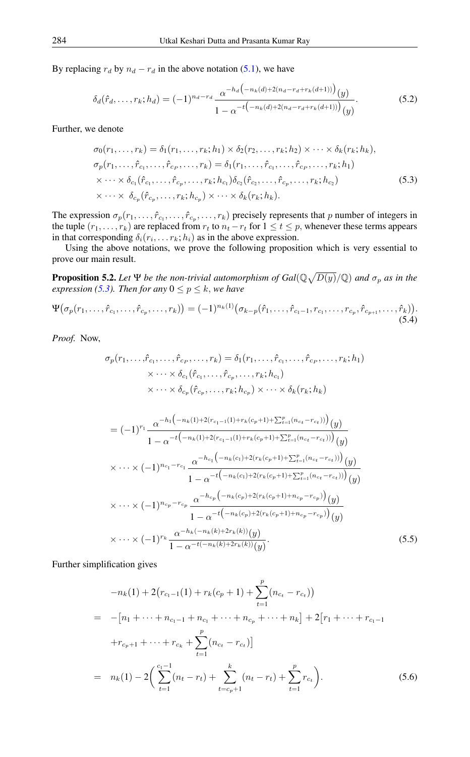By replacing  $r_d$  by  $n_d - r_d$  in the above notation [\(5.1\)](#page-9-0), we have

$$
\delta_d(\hat{r}_d, \dots, r_k; h_d) = (-1)^{n_d - r_d} \frac{\alpha^{-h_d \left( -n_k(d) + 2(n_d - r_d + r_k(d+1)) \right)}(y)}{1 - \alpha^{-t \left( -n_k(d) + 2(n_d - r_d + r_k(d+1)) \right)}(y)}.
$$
(5.2)

Further, we denote

<span id="page-10-0"></span>
$$
\sigma_0(r_1,\ldots,r_k) = \delta_1(r_1,\ldots,r_k; h_1) \times \delta_2(r_2,\ldots,r_k; h_2) \times \cdots \times \delta_k(r_k; h_k),
$$
  
\n
$$
\sigma_p(r_1,\ldots,\hat{r}_{c_1},\ldots,\hat{r}_{c_P},\ldots,r_k) = \delta_1(r_1,\ldots,\hat{r}_{c_1},\ldots,\hat{r}_{c_P},\ldots,r_k; h_1)
$$
  
\n
$$
\times \cdots \times \delta_{c_1}(\hat{r}_{c_1},\ldots,\hat{r}_{c_p},\ldots,r_k; h_{c_1})\delta_{c_2}(\hat{r}_{c_2},\ldots,\hat{r}_{c_p},\ldots,r_k; h_{c_2})
$$
  
\n
$$
\times \cdots \times \delta_{c_p}(\hat{r}_{c_p},\ldots,r_k; h_{c_p}) \times \cdots \times \delta_k(r_k; h_k).
$$
\n(5.3)

The expression  $\sigma_p(r_1,\ldots,\hat{r}_{c_1},\ldots,\hat{r}_{c_p},\ldots,r_k)$  precisely represents that p number of integers in the tuple  $(r_1, \ldots, r_k)$  are replaced from  $r_t$  to  $n_t - r_t$  for  $1 \le t \le p$ , whenever these terms appears in that corresponding  $\delta_i(r_i, \ldots r_k; h_i)$  as in the above expression.

Using the above notations, we prove the following proposition which is very essential to prove our main result.

<span id="page-10-3"></span>**Proposition 5.2.** Let  $\Psi$  be the non-trivial automorphism of  $Gal(\mathbb{Q}\sqrt{D(y)}/\mathbb{Q})$  and  $\sigma_p$  as in the *expression [\(5.3\)](#page-10-0). Then for any*  $0 \le p \le k$ *, we have* 

$$
\Psi(\sigma_p(r_1,\ldots,\hat{r}_{c_1},\ldots,\hat{r}_{c_p},\ldots,r_k)) = (-1)^{n_k(1)} (\sigma_{k-p}(\hat{r}_1,\ldots,\hat{r}_{c_1-1},r_{c_1},\ldots,r_{c_p},\hat{r}_{c_{p+1}},\ldots,\hat{r}_k)).
$$
\n(5.4)

*Proof.* Now,

$$
\sigma_p(r_1, \ldots, \hat{r}_{c_1}, \ldots, \hat{r}_{c_P}, \ldots, r_k) = \delta_1(r_1, \ldots, \hat{r}_{c_1}, \ldots, \hat{r}_{c_P}, \ldots, r_k; h_1)
$$
\n
$$
\times \cdots \times \delta_{c_1}(\hat{r}_{c_1}, \ldots, \hat{r}_{c_P}, \ldots, r_k; h_{c_1})
$$
\n
$$
\times \cdots \times \delta_{c_p}(\hat{r}_{c_p}, \ldots, r_k; h_{c_p}) \times \cdots \times \delta_k(r_k; h_k)
$$
\n
$$
= (-1)^{r_1} \frac{\alpha^{-h_1(-n_k(1) + 2(r_{c_1-1}(1) + r_k(c_p+1) + \sum_{t=1}^p (n_{c_t} - r_{c_t})))}(y)}{1 - \alpha^{-t(-n_k(1) + 2(r_{c_1-1}(1) + r_k(c_p+1) + \sum_{t=1}^p (n_{c_t} - r_{c_t})))}(y)}
$$
\n
$$
\times \cdots \times (-1)^{n_{c_1} - r_{c_1}} \frac{\alpha^{-h_{c_1}(-n_k(c_1) + 2(r_k(c_p+1) + \sum_{t=1}^p (n_{c_t} - r_{c_t})))}(y)}{1 - \alpha^{-t(-n_k(c_1) + 2(r_k(c_p+1) + \sum_{t=1}^p (n_{c_t} - r_{c_t})))}(y)}
$$
\n
$$
\times \cdots \times (-1)^{n_{c_p} - r_{c_p}} \frac{\alpha^{-h_{c_p}(-n_k(c_p) + 2(r_k(c_p+1) + n_{c_p} - r_{c_p}))}(y)}{1 - \alpha^{-t(-n_k(c_p) + 2(r_k(c_p+1) + n_{c_p} - r_{c_p}))}(y)}
$$
\n
$$
\times \cdots \times (-1)^{r_k} \frac{\alpha^{-h_k(-n_k(k) + 2r_k(k))}(y)}{1 - \alpha^{-t(-n_k(k) + 2r_k(k))}(y)}.
$$
\n(5.5)

Further simplification gives

<span id="page-10-2"></span><span id="page-10-1"></span>
$$
-n_k(1) + 2(r_{c_1-1}(1) + r_k(c_p + 1) + \sum_{t=1}^p (n_{c_t} - r_{c_t}))
$$
  
=  $-[n_1 + \dots + n_{c_1-1} + n_{c_1} + \dots + n_{c_p} + \dots + n_k] + 2[r_1 + \dots + r_{c_1-1} + r_{c_p+1} + \dots + r_{c_k} + \sum_{t=1}^p (n_{c_t} - r_{c_t})]$   
=  $n_k(1) - 2\left(\sum_{t=1}^{c_1-1} (n_t - r_t) + \sum_{t=c_p+1}^k (n_t - r_t) + \sum_{t=1}^p r_{c_t}\right).$  (5.6)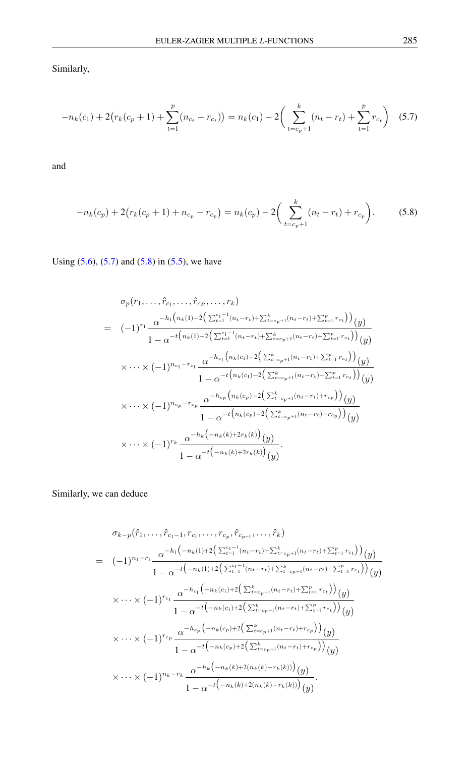Similarly,

<span id="page-11-0"></span>
$$
-n_k(c_1) + 2(r_k(c_p + 1) + \sum_{t=1}^p (n_{c_t} - r_{c_t})) = n_k(c_1) - 2\left(\sum_{t=c_p+1}^k (n_t - r_t) + \sum_{t=1}^p r_{c_t}\right)
$$
 (5.7)

and

<span id="page-11-1"></span>
$$
-n_k(c_p) + 2(r_k(c_p + 1) + n_{c_p} - r_{c_p}) = n_k(c_p) - 2\left(\sum_{t=c_p+1}^k (n_t - r_t) + r_{c_p}\right).
$$
 (5.8)

Using [\(5.6\)](#page-10-1), [\(5.7\)](#page-11-0) and [\(5.8\)](#page-11-1) in [\(5.5\)](#page-10-2), we have

<span id="page-11-2"></span>
$$
\sigma_p(r_1, \ldots, \hat{r}_{c_1}, \ldots, \hat{r}_{c_P}, \ldots, r_k)
$$
\n
$$
= (-1)^{r_1} \frac{\alpha^{-h_1\left(n_k(1)-2\left(\sum_{t=1}^{c_1-1} (n_t - r_t) + \sum_{t=c_p+1}^k (n_t - r_t) + \sum_{t=1}^p r_{c_t}\right)\right)}(y)}{1 - \alpha^{-t\left(n_k(1)-2\left(\sum_{t=1}^{c_1-1} (n_t - r_t) + \sum_{t=c_p+1}^k (n_t - r_t) + \sum_{t=1}^p r_{c_t}\right)\right)}(y)}
$$
\n
$$
\times \cdots \times (-1)^{n_{c_1}-r_{c_1}} \frac{\alpha^{-h_{c_1}\left(n_k(c_1)-2\left(\sum_{t=c_p+1}^k (n_t - r_t) + \sum_{t=1}^p r_{c_t}\right)\right)}(y)}{1 - \alpha^{-t\left(n_k(c_1)-2\left(\sum_{t=c_p+1}^k (n_t - r_t) + \sum_{t=1}^p r_{c_t}\right)\right)}(y)}
$$
\n
$$
\times \cdots \times (-1)^{n_{c_p}-r_{c_p}} \frac{\alpha^{-h_{c_p}\left(n_k(c_p)-2\left(\sum_{t=c_p+1}^k (n_t - r_t) + r_{c_p}\right)\right)}(y)}{1 - \alpha^{-t\left(n_k(c_p)-2\left(\sum_{t=c_p+1}^k (n_t - r_t) + r_{c_p}\right)\right)}(y)}
$$
\n
$$
\times \cdots \times (-1)^{r_k} \frac{\alpha^{-h_k\left(-n_k(k)+2r_k(k)\right)}(y)}{1 - \alpha^{-t\left(-n_k(k)+2r_k(k)\right)}(y)}.
$$

Similarly, we can deduce

$$
\sigma_{k-p}(\hat{r}_{1},\ldots,\hat{r}_{c_{1}-1},r_{c_{1}},\ldots,r_{c_{p}},\hat{r}_{c_{p+1}},\ldots,\hat{r}_{k})
$$
\n
$$
= (-1)^{n_{1}-r_{1}} \frac{\alpha^{-h_{1}\left(-n_{k}(1)+2\left(\sum_{t=1}^{c_{1}-1}(n_{t}-r_{t})+\sum_{t=c_{p}+1}^{k}(n_{t}-r_{t})+\sum_{t=1}^{p}r_{c_{t}}\right)\right)}{(1-\alpha^{-t}\left(-n_{k}(1)+2\left(\sum_{t=1}^{c_{1}-1}(n_{t}-r_{t})+\sum_{t=c_{p}+1}^{k}(n_{t}-r_{t})+\sum_{t=1}^{p}r_{c_{t}}\right)\right)}(y)}
$$
\n
$$
\times \cdots \times (-1)^{r_{c_{1}}} \frac{\alpha^{-h_{c_{1}}\left(-n_{k}(c_{1})+2\left(\sum_{t=c_{p}+1}^{k}(n_{t}-r_{t})+\sum_{t=1}^{p}r_{c_{t}}\right)\right)}{(1-\alpha^{-t}\left(-n_{k}(c_{1})+2\left(\sum_{t=c_{p}+1}^{k}(n_{t}-r_{t})+\sum_{t=1}^{p}r_{c_{t}}\right)\right)}(y)}
$$
\n
$$
\times \cdots \times (-1)^{r_{c_{p}}} \frac{\alpha^{-h_{c_{p}}\left(-n_{k}(c_{p})+2\left(\sum_{t=c_{p}+1}^{k}(n_{t}-r_{t})+r_{c_{p}}\right)\right)}{(1-\alpha^{-t}\left(-n_{k}(c_{p})+2\left(\sum_{t=c_{p}+1}^{k}(n_{t}-r_{t})+r_{c_{p}}\right)\right)}(y)}
$$
\n
$$
\times \cdots \times (-1)^{n_{k}-r_{k}} \frac{\alpha^{-h_{k}\left(-n_{k}(k)+2(n_{k}(k)-r_{k}(k))\right)}{(1-\alpha^{-t}\left(-n_{k}(k)+2(n_{k}(k)-r_{k}(k))\right)}(y)}.
$$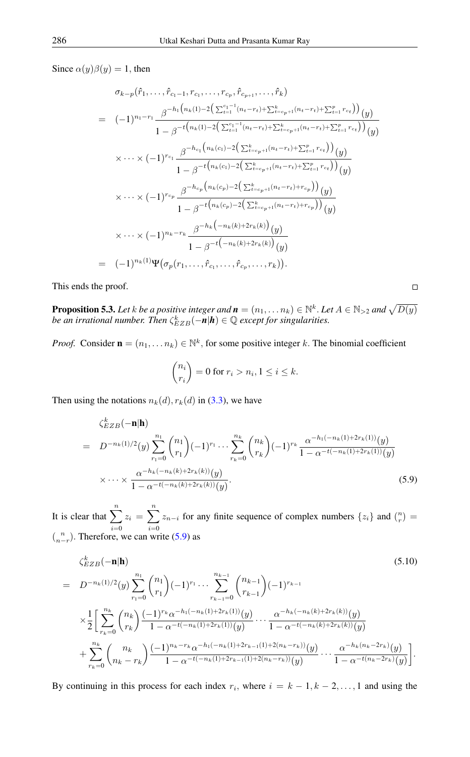Since  $\alpha(y)\beta(y) = 1$ , then

$$
\sigma_{k-p}(\hat{r}_{1},\ldots,\hat{r}_{c_{1}-1},r_{c_{1}},\ldots,r_{c_{p}},\hat{r}_{c_{p+1}},\ldots,\hat{r}_{k})
$$
\n
$$
= (-1)^{n_{1}-r_{1}} \frac{\beta^{-h_{1}\left(n_{k}(1)-2\left(\sum_{t=1}^{c_{1}-1}(n_{t}-r_{t})+\sum_{t=c_{p}+1}^{p}(n_{t}-r_{t})+\sum_{t=1}^{p}r_{c_{t}}\right)\right)(y)}{1-\beta^{-t\left(n_{k}(1)-2\left(\sum_{t=1}^{c_{1}-1}(n_{t}-r_{t})+\sum_{t=c_{p}+1}^{k}(n_{t}-r_{t})+\sum_{t=1}^{p}r_{c_{t}}\right)\right)(y)}
$$
\n
$$
\times \cdots \times (-1)^{r_{c_{1}}} \frac{\beta^{-h_{c_{1}}\left(n_{k}(c_{1})-2\left(\sum_{t=c_{p}+1}^{k}(n_{t}-r_{t})+\sum_{t=1}^{p}r_{c_{t}}\right)\right)(y)}{1-\beta^{-t\left(n_{k}(c_{1})-2\left(\sum_{t=c_{p}+1}^{k}(n_{t}-r_{t})+\sum_{t=1}^{p}r_{c_{t}}\right)\right)(y)}}
$$
\n
$$
\times \cdots \times (-1)^{r_{c_{p}}} \frac{\beta^{-h_{c_{p}}\left(n_{k}(c_{p})-2\left(\sum_{t=c_{p}+1}^{k}(n_{t}-r_{t})+r_{c_{p}}\right)\right)(y)}{1-\beta^{-t\left(n_{k}(c_{p})-2\left(\sum_{t=c_{p}+1}^{k}(n_{t}-r_{t})+r_{c_{p}}\right)\right)(y)}}
$$
\n
$$
\times \cdots \times (-1)^{n_{k}-r_{k}} \frac{\beta^{-h_{k}\left(-n_{k}(k)+2r_{k}(k)\right)(y)}{1-\beta^{-t\left(-n_{k}(k)+2r_{k}(k)\right)(y)}}
$$
\n
$$
= (-1)^{n_{k}(1)} \Psi(\sigma_{p}(r_{1},\ldots,\hat{r}_{c_{1}},\ldots,\hat{r}_{c_{p}},\ldots,r_{k)).
$$

This ends the proof.

<span id="page-12-0"></span>**Proposition 5.3.** Let  $k$  be a positive integer and  $n = (n_1, \ldots n_k) \in \mathbb{N}^k$ . Let  $A \in \mathbb{N}_{>2}$  and  $\sqrt{D(y)}$ *be an irrational number. Then*  $\zeta_{EZB}^k(-n|h) \in \mathbb{Q}$  *except for singularities.* 

*Proof.* Consider  $\mathbf{n} = (n_1, \dots n_k) \in \mathbb{N}^k$ , for some positive integer k. The binomial coefficient

$$
\binom{n_i}{r_i} = 0 \text{ for } r_i > n_i, 1 \le i \le k.
$$

Then using the notations  $n_k(d)$ ,  $r_k(d)$  in [\(3.3\)](#page-4-0), we have

$$
\zeta_{EZB}^{k}(-\mathbf{n}|\mathbf{h})
$$
\n
$$
= D^{-n_{k}(1)/2}(y) \sum_{r_{1}=0}^{n_{1}} {n_{1} \choose r_{1}} (-1)^{r_{1}} \cdots \sum_{r_{k}=0}^{n_{k}} {n_{k} \choose r_{k}} (-1)^{r_{k}} \frac{\alpha^{-h_{1}(-n_{k}(1)+2r_{k}(1))}(y)}{1-\alpha^{-t(-n_{k}(1)+2r_{k}(1))}(y)}
$$
\n
$$
\times \cdots \times \frac{\alpha^{-h_{k}(-n_{k}(k)+2r_{k}(k))}(y)}{1-\alpha^{-t(-n_{k}(k)+2r_{k}(k))}(y)}.
$$
\n(5.9)

It is clear that  $\sum_{n=1}^{\infty}$  $i=0$  $z_i = \sum_{i=1}^{n}$  $i=0$  $z_{n-i}$  for any finite sequence of complex numbers  $\{z_i\}$  and  $\binom{n}{r}$  =  $\binom{n}{n-r}$ . Therefore, we can write [\(5.9\)](#page-11-2) as

$$
\zeta_{EZB}^{k}(-\mathbf{n}|\mathbf{h})
$$
\n
$$
= D^{-n_{k}(1)/2}(y) \sum_{r_{1}=0}^{n_{1}} {n_{1} \choose r_{1}} (-1)^{r_{1}} \cdots \sum_{r_{k-1}=0}^{n_{k-1}} {n_{k-1} \choose r_{k-1}} (-1)^{r_{k-1}}
$$
\n
$$
\times \frac{1}{2} \Bigg[ \sum_{r_{k}=0}^{n_{k}} {n_{k} \choose r_{k}} \frac{(-1)^{r_{k}} \alpha^{-h_{1}(-n_{k}(1)+2r_{k}(1))}(y)}{1-\alpha^{-t}(-n_{k}(1)+2r_{k}(1))}(y)} \cdots \frac{\alpha^{-h_{k}(-n_{k}(k)+2r_{k}(k))}(y)}{1-\alpha^{-t}(-n_{k}(k)+2r_{k}(k))}(y)} + \sum_{r_{k}=0}^{n_{k}} {n_{k} \choose n_{k}-r_{k}} \frac{(-1)^{n_{k}-r_{k}} \alpha^{-h_{1}(-n_{k}(1)+2r_{k-1}(1)+2(n_{k}-r_{k}))}(y)}{1-\alpha^{-t}(-n_{k}(1)+2r_{k-1}(1)+2(n_{k}-r_{k}))}(y)} \cdots \frac{\alpha^{-h_{k}(n_{k}-2r_{k})}(y)}{1-\alpha^{-t}(n_{k}-2r_{k})}(y)}.
$$
\n(5.10)

By continuing in this process for each index  $r_i$ , where  $i = k - 1, k - 2, \ldots, 1$  and using the

 $\Box$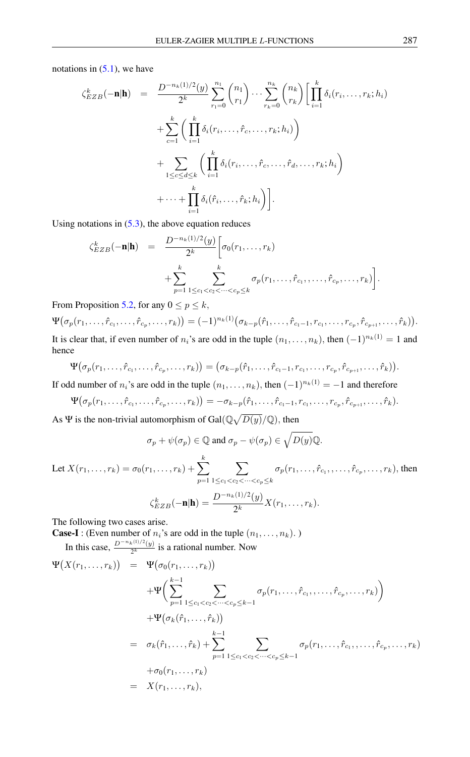notations in  $(5.1)$ , we have

$$
\zeta_{EZB}^{k}(-\mathbf{n}|\mathbf{h}) = \frac{D^{-n_k(1)/2}(y)}{2^k} \sum_{r_1=0}^{n_1} {n_1 \choose r_1} \cdots \sum_{r_k=0}^{n_k} {n_k \choose r_k} \Big[ \prod_{i=1}^k \delta_i(r_i, \ldots, r_k; h_i) + \sum_{c=1}^k \Big( \prod_{i=1}^k \delta_i(r_i, \ldots, \hat{r}_c, \ldots, r_k; h_i) \Big) + \sum_{1 \le c \le d \le k} \Big( \prod_{i=1}^k \delta_i(r_i, \ldots, \hat{r}_c, \ldots, \hat{r}_d, \ldots, r_k; h_i) + \cdots + \prod_{i=1}^k \delta_i(\hat{r}_i, \ldots, \hat{r}_k; h_i) \Big].
$$

Using notations in  $(5.3)$ , the above equation reduces

$$
\zeta_{EZB}^{k}(-\mathbf{n}|\mathbf{h}) = \frac{D^{-n_{k}(1)/2}(y)}{2^{k}} \bigg[\sigma_{0}(r_{1},\ldots,r_{k}) + \sum_{p=1}^{k} \sum_{1 \leq c_{1} < c_{2} < \cdots < c_{p} \leq k}^{k} \sigma_{p}(r_{1},\ldots,\hat{r}_{c_{1}},\ldots,\hat{r}_{c_{p}},\ldots,r_{k})\bigg].
$$

From Proposition [5.2,](#page-10-3) for any  $0 \le p \le k$ ,

 $\Psi(\sigma_p(r_1,\ldots,\hat{r}_{c_1},\ldots,\hat{r}_{c_p},\ldots,r_k)) = (-1)^{n_k(1)} (\sigma_{k-p}(\hat{r}_1,\ldots,\hat{r}_{c_1-1},r_{c_1},\ldots,r_{c_p},\hat{r}_{c_{p+1}},\ldots,\hat{r}_k)).$ It is clear that, if even number of  $n_i$ 's are odd in the tuple  $(n_1, \ldots, n_k)$ , then  $(-1)^{n_k(1)} = 1$  and hence

$$
\Psi(\sigma_p(r_1,\ldots,\hat{r}_{c_1},\ldots,\hat{r}_{c_p},\ldots,r_k)) = (\sigma_{k-p}(\hat{r}_1,\ldots,\hat{r}_{c_1-1},r_{c_1},\ldots,r_{c_p},\hat{r}_{c_{p+1}},\ldots,\hat{r}_k)).
$$

If odd number of  $n_i$ 's are odd in the tuple  $(n_1, \ldots, n_k)$ , then  $(-1)^{n_k(1)} = -1$  and therefore

$$
\Psi(\sigma_p(r_1,\ldots,\hat{r}_{c_1},\ldots,\hat{r}_{c_p},\ldots,r_k))=-\sigma_{k-p}(\hat{r}_1,\ldots,\hat{r}_{c_1-1},r_{c_1},\ldots,r_{c_p},\hat{r}_{c_{p+1}},\ldots,\hat{r}_k).
$$

As  $\Psi$  is the non-trivial automorphism of Gal $(\mathbb{Q}\sqrt{D(y)}/\mathbb{Q})$ , then

$$
\sigma_p + \psi(\sigma_p) \in \mathbb{Q}
$$
 and  $\sigma_p - \psi(\sigma_p) \in \sqrt{D(y)}\mathbb{Q}$ .

Let 
$$
X(r_1, ..., r_k) = \sigma_0(r_1, ..., r_k) + \sum_{p=1}^k \sum_{1 \le c_1 < c_2 < ... < c_p \le k} \sigma_p(r_1, ..., \hat{r}_{c_1}, ..., \hat{r}_{c_p}, ..., r_k)
$$
, then  

$$
\zeta_{EZB}^k(-\mathbf{n}|\mathbf{h}) = \frac{D^{-n_k(1)/2}(y)}{2^k} X(r_1, ..., r_k).
$$

The following two cases arise.

**Case-I** : (Even number of  $n_i$ 's are odd in the tuple  $(n_1, \ldots, n_k)$ .) In this case,  $\frac{D^{-n_k(1)/2}(y)}{2^k}$  $\frac{\binom{n}{2}}{2^k}$  is a rational number. Now

$$
\Psi(X(r_1,...,r_k)) = \Psi(\sigma_0(r_1,...,r_k)) \n+ \Psi\left(\sum_{p=1}^{k-1} \sum_{1 \leq c_1 < c_2 < \dots < c_p \leq k-1} \sigma_p(r_1,...,\hat{r}_{c_1},..., \hat{r}_{c_p},...,r_k)\right) \n+ \Psi(\sigma_k(\hat{r}_1,...,\hat{r}_k)) \n= \sigma_k(\hat{r}_1,...,\hat{r}_k) + \sum_{p=1}^{k-1} \sum_{1 \leq c_1 < c_2 < \dots < c_p \leq k-1} \sigma_p(r_1,...,\hat{r}_{c_1},..., \hat{r}_{c_p},...,r_k) \n+ \sigma_0(r_1,...,r_k) \n= X(r_1,...,r_k),
$$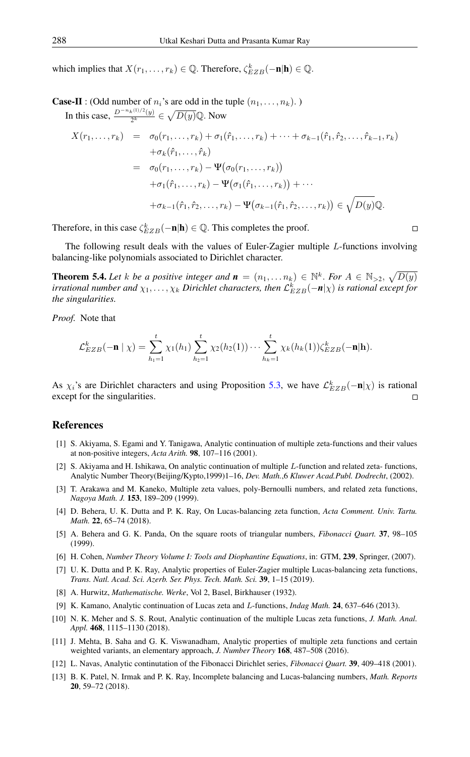which implies that  $X(r_1, \ldots, r_k) \in \mathbb{Q}$ . Therefore,  $\zeta_{EZB}^k(-\mathbf{n}|\mathbf{h}) \in \mathbb{Q}$ .

**Case-II** : (Odd number of  $n_i$ 's are odd in the tuple  $(n_1, \ldots, n_k)$ .)

In this case,  $\frac{D^{-n_k(1)/2}(y)}{2^k}$  $\frac{1}{2^k} \sum_{y}^{(k+1)/2}(y) \in \sqrt{D(y)}\mathbb{Q}$ . Now

$$
X(r_1,...,r_k) = \sigma_0(r_1,...,r_k) + \sigma_1(\hat{r}_1,...,r_k) + \cdots + \sigma_{k-1}(\hat{r}_1, \hat{r}_2,..., \hat{r}_{k-1}, r_k) + \sigma_k(\hat{r}_1,..., \hat{r}_k) = \sigma_0(r_1,...,r_k) - \Psi(\sigma_0(r_1,...,r_k)) + \sigma_1(\hat{r}_1,...,r_k) - \Psi(\sigma_1(\hat{r}_1,...,r_k)) + \cdots + \sigma_{k-1}(\hat{r}_1, \hat{r}_2,...,r_k) - \Psi(\sigma_{k-1}(\hat{r}_1, \hat{r}_2,...,r_k)) \in \sqrt{D(y)}\mathbb{Q}.
$$

Therefore, in this case  $\zeta_{EZB}^k(-\mathbf{n}|\mathbf{h}) \in \mathbb{Q}$ . This completes the proof.

The following result deals with the values of Euler-Zagier multiple L-functions involving balancing-like polynomials associated to Dirichlet character.

**Theorem 5.4.** Let k be a positive integer and  $\mathbf{n} = (n_1, \ldots, n_k) \in \mathbb{N}^k$ . For  $A \in \mathbb{N}_{>2}$ ,  $\sqrt{D(y)}$  $i$ rrational number and  $\chi_1, \ldots, \chi_k$  Dirichlet characters, then  $\mathcal{L}_{EZB}^k(-n|\chi)$  is rational except for *the singularities.*

*Proof.* Note that

$$
\mathcal{L}_{EZB}^{k}(-\mathbf{n} \mid \chi) = \sum_{h_1=1}^{t} \chi_1(h_1) \sum_{h_2=1}^{t} \chi_2(h_2(1)) \cdots \sum_{h_k=1}^{t} \chi_k(h_k(1)) \zeta_{EZB}^{k}(-\mathbf{n}|\mathbf{h}).
$$

As  $\chi_i$ 's are Dirichlet characters and using Proposition [5.3,](#page-12-0) we have  $\mathcal{L}_{EZB}^k(-\mathbf{n}|\chi)$  is rational except for the singularities.  $\Box$ 

### <span id="page-14-0"></span>References

- <span id="page-14-2"></span>[1] S. Akiyama, S. Egami and Y. Tanigawa, Analytic continuation of multiple zeta-functions and their values at non-positive integers, *Acta Arith.* 98, 107–116 (2001).
- <span id="page-14-5"></span>[2] S. Akiyama and H. Ishikawa, On analytic continuation of multiple L-function and related zeta- functions, Analytic Number Theory(Beijing/Kypto,1999)1–16, *Dev. Math.*,6 *Kluwer Acad.Publ. Dodrecht*, (2002).
- <span id="page-14-1"></span>[3] T. Arakawa and M. Kaneko, Multiple zeta values, poly-Bernoulli numbers, and related zeta functions, *Nagoya Math. J.* 153, 189–209 (1999).
- <span id="page-14-11"></span>[4] D. Behera, U. K. Dutta and P. K. Ray, On Lucas-balancing zeta function, *Acta Comment. Univ. Tartu. Math.* 22, 65–74 (2018).
- <span id="page-14-9"></span>[5] A. Behera and G. K. Panda, On the square roots of triangular numbers, *Fibonacci Quart.* 37, 98–105 (1999).
- <span id="page-14-13"></span>[6] H. Cohen, *Number Theory Volume I: Tools and Diophantine Equations*, in: GTM, 239, Springer, (2007).
- <span id="page-14-12"></span>[7] U. K. Dutta and P. K. Ray, Analytic properties of Euler-Zagier multiple Lucas-balancing zeta functions, *Trans. Natl. Acad. Sci. Azerb. Ser. Phys. Tech. Math. Sci.* 39, 1–15 (2019).
- <span id="page-14-4"></span>[8] A. Hurwitz, *Mathematische. Werke*, Vol 2, Basel, Birkhauser (1932).
- <span id="page-14-7"></span>[9] K. Kamano, Analytic continuation of Lucas zeta and L-functions, *Indag Math.* 24, 637–646 (2013).
- <span id="page-14-8"></span>[10] N. K. Meher and S. S. Rout, Analytic continuation of the multiple Lucas zeta functions, *J. Math. Anal. Appl.* 468, 1115–1130 (2018).
- <span id="page-14-3"></span>[11] J. Mehta, B. Saha and G. K. Viswanadham, Analytic properties of multiple zeta functions and certain weighted variants, an elementary approach, *J. Number Theory* 168, 487–508 (2016).
- <span id="page-14-6"></span>[12] L. Navas, Analytic continutation of the Fibonacci Dirichlet series, *Fibonacci Quart.* 39, 409–418 (2001).
- <span id="page-14-10"></span>[13] B. K. Patel, N. Irmak and P. K. Ray, Incomplete balancing and Lucas-balancing numbers, *Math. Reports* 20, 59–72 (2018).

$$
\Box
$$